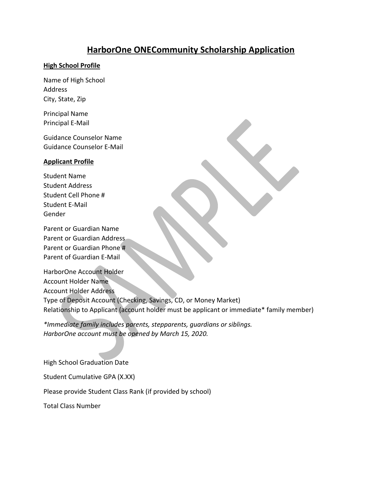# **HarborOne ONECommunity Scholarship Application**

#### **High School Profile**

Name of High School Address City, State, Zip

Principal Name Principal E-Mail

Guidance Counselor Name Guidance Counselor E-Mail

### **Applicant Profile**

Student Name Student Address Student Cell Phone # Student E-Mail Gender

Parent or Guardian Name Parent or Guardian Address Parent or Guardian Phone # Parent of Guardian E-Mail

HarborOne Account Holder Account Holder Name Account Holder Address Type of Deposit Account (Checking, Savings, CD, or Money Market) Relationship to Applicant (account holder must be applicant or immediate\* family member)

*\*Immediate family includes parents, stepparents, guardians or siblings. HarborOne account must be opened by March 15, 2020.*

High School Graduation Date

Student Cumulative GPA (X.XX)

Please provide Student Class Rank (if provided by school)

Total Class Number